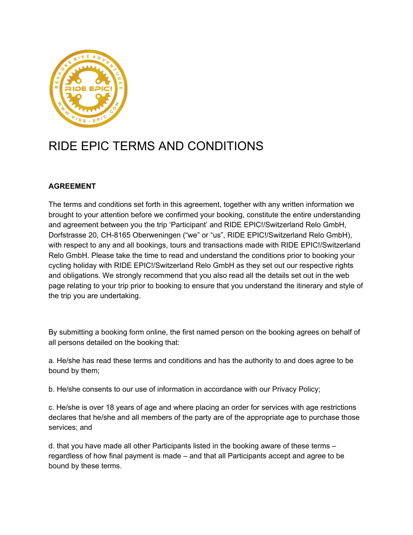

# RIDE EPIC TERMS AND CONDITIONS

# **AGREEMENT**

The terms and conditions set forth in this agreement, together with any written information we brought to your attention before we confirmed your booking, constitute the entire understanding and agreement between you the trip 'Participant' and RIDE EPIC!/Switzerland Relo GmbH, Dorfstrasse 20, CH-8165 Oberweningen ("we" or "us", RIDE EPIC!/Switzerland Relo GmbH), with respect to any and all bookings, tours and transactions made with RIDE EPIC!/Switzerland Relo GmbH. Please take the time to read and understand the conditions prior to booking your cycling holiday with RIDE EPIC!/Switzerland Relo GmbH as they set out our respective rights and obligations. We strongly recommend that you also read all the details set out in the web page relating to your trip prior to booking to ensure that you understand the itinerary and style of the trip you are undertaking.

By submitting a booking form online, the first named person on the booking agrees on behalf of all persons detailed on the booking that:

a. He/she has read these terms and conditions and has the authority to and does agree to be bound by them;

b. He/she consents to our use of information in accordance with our Privacy Policy;

c. He/she is over 18 years of age and where placing an order for services with age restrictions declares that he/she and all members of the party are of the appropriate age to purchase those services; and

d. that you have made all other Participants listed in the booking aware of these terms – regardless of how final payment is made – and that all Participants accept and agree to be bound by these terms.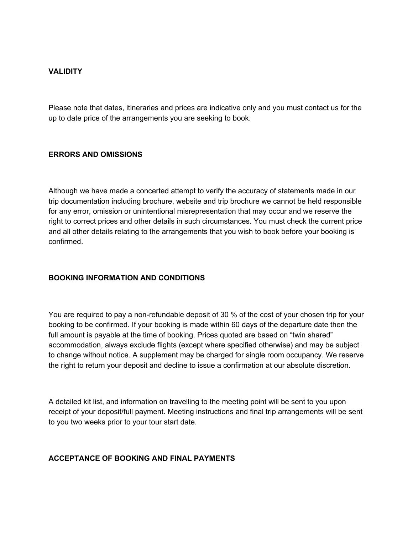#### **VALIDITY**

Please note that dates, itineraries and prices are indicative only and you must contact us for the up to date price of the arrangements you are seeking to book.

#### **ERRORS AND OMISSIONS**

Although we have made a concerted attempt to verify the accuracy of statements made in our trip documentation including brochure, website and trip brochure we cannot be held responsible for any error, omission or unintentional misrepresentation that may occur and we reserve the right to correct prices and other details in such circumstances. You must check the current price and all other details relating to the arrangements that you wish to book before your booking is confirmed.

#### **BOOKING INFORMATION AND CONDITIONS**

You are required to pay a non-refundable deposit of 30 % of the cost of your chosen trip for your booking to be confirmed. If your booking is made within 60 days of the departure date then the full amount is payable at the time of booking. Prices quoted are based on "twin shared" accommodation, always exclude flights (except where specified otherwise) and may be subject to change without notice. A supplement may be charged for single room occupancy. We reserve the right to return your deposit and decline to issue a confirmation at our absolute discretion.

A detailed kit list, and information on travelling to the meeting point will be sent to you upon receipt of your deposit/full payment. Meeting instructions and final trip arrangements will be sent to you two weeks prior to your tour start date.

#### **ACCEPTANCE OF BOOKING AND FINAL PAYMENTS**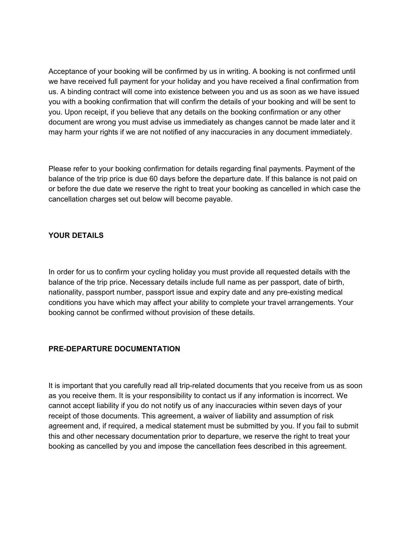Acceptance of your booking will be confirmed by us in writing. A booking is not confirmed until we have received full payment for your holiday and you have received a final confirmation from us. A binding contract will come into existence between you and us as soon as we have issued you with a booking confirmation that will confirm the details of your booking and will be sent to you. Upon receipt, if you believe that any details on the booking confirmation or any other document are wrong you must advise us immediately as changes cannot be made later and it may harm your rights if we are not notified of any inaccuracies in any document immediately.

Please refer to your booking confirmation for details regarding final payments. Payment of the balance of the trip price is due 60 days before the departure date. If this balance is not paid on or before the due date we reserve the right to treat your booking as cancelled in which case the cancellation charges set out below will become payable.

## **YOUR DETAILS**

In order for us to confirm your cycling holiday you must provide all requested details with the balance of the trip price. Necessary details include full name as per passport, date of birth, nationality, passport number, passport issue and expiry date and any pre-existing medical conditions you have which may affect your ability to complete your travel arrangements. Your booking cannot be confirmed without provision of these details.

#### **PRE-DEPARTURE DOCUMENTATION**

It is important that you carefully read all trip-related documents that you receive from us as soon as you receive them. It is your responsibility to contact us if any information is incorrect. We cannot accept liability if you do not notify us of any inaccuracies within seven days of your receipt of those documents. This agreement, a waiver of liability and assumption of risk agreement and, if required, a medical statement must be submitted by you. If you fail to submit this and other necessary documentation prior to departure, we reserve the right to treat your booking as cancelled by you and impose the cancellation fees described in this agreement.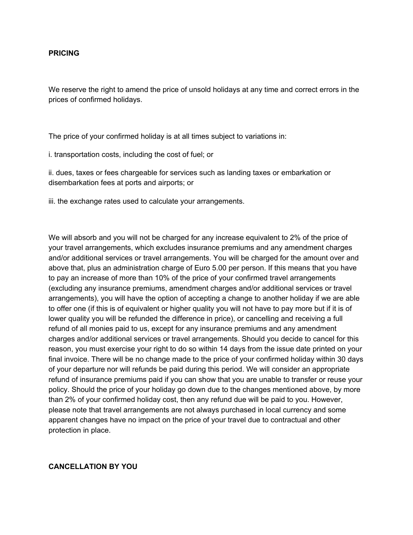#### **PRICING**

We reserve the right to amend the price of unsold holidays at any time and correct errors in the prices of confirmed holidays.

The price of your confirmed holiday is at all times subject to variations in:

i. transportation costs, including the cost of fuel; or

ii. dues, taxes or fees chargeable for services such as landing taxes or embarkation or disembarkation fees at ports and airports; or

iii. the exchange rates used to calculate your arrangements.

We will absorb and you will not be charged for any increase equivalent to 2% of the price of your travel arrangements, which excludes insurance premiums and any amendment charges and/or additional services or travel arrangements. You will be charged for the amount over and above that, plus an administration charge of Euro 5.00 per person. If this means that you have to pay an increase of more than 10% of the price of your confirmed travel arrangements (excluding any insurance premiums, amendment charges and/or additional services or travel arrangements), you will have the option of accepting a change to another holiday if we are able to offer one (if this is of equivalent or higher quality you will not have to pay more but if it is of lower quality you will be refunded the difference in price), or cancelling and receiving a full refund of all monies paid to us, except for any insurance premiums and any amendment charges and/or additional services or travel arrangements. Should you decide to cancel for this reason, you must exercise your right to do so within 14 days from the issue date printed on your final invoice. There will be no change made to the price of your confirmed holiday within 30 days of your departure nor will refunds be paid during this period. We will consider an appropriate refund of insurance premiums paid if you can show that you are unable to transfer or reuse your policy. Should the price of your holiday go down due to the changes mentioned above, by more than 2% of your confirmed holiday cost, then any refund due will be paid to you. However, please note that travel arrangements are not always purchased in local currency and some apparent changes have no impact on the price of your travel due to contractual and other protection in place.

#### **CANCELLATION BY YOU**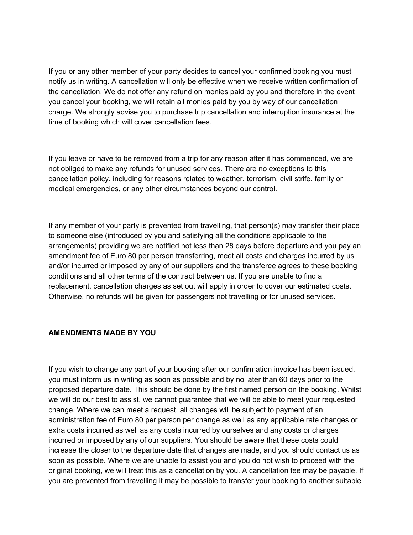If you or any other member of your party decides to cancel your confirmed booking you must notify us in writing. A cancellation will only be effective when we receive written confirmation of the cancellation. We do not offer any refund on monies paid by you and therefore in the event you cancel your booking, we will retain all monies paid by you by way of our cancellation charge. We strongly advise you to purchase trip cancellation and interruption insurance at the time of booking which will cover cancellation fees.

If you leave or have to be removed from a trip for any reason after it has commenced, we are not obliged to make any refunds for unused services. There are no exceptions to this cancellation policy, including for reasons related to weather, terrorism, civil strife, family or medical emergencies, or any other circumstances beyond our control.

If any member of your party is prevented from travelling, that person(s) may transfer their place to someone else (introduced by you and satisfying all the conditions applicable to the arrangements) providing we are notified not less than 28 days before departure and you pay an amendment fee of Euro 80 per person transferring, meet all costs and charges incurred by us and/or incurred or imposed by any of our suppliers and the transferee agrees to these booking conditions and all other terms of the contract between us. If you are unable to find a replacement, cancellation charges as set out will apply in order to cover our estimated costs. Otherwise, no refunds will be given for passengers not travelling or for unused services.

#### **AMENDMENTS MADE BY YOU**

If you wish to change any part of your booking after our confirmation invoice has been issued, you must inform us in writing as soon as possible and by no later than 60 days prior to the proposed departure date. This should be done by the first named person on the booking. Whilst we will do our best to assist, we cannot guarantee that we will be able to meet your requested change. Where we can meet a request, all changes will be subject to payment of an administration fee of Euro 80 per person per change as well as any applicable rate changes or extra costs incurred as well as any costs incurred by ourselves and any costs or charges incurred or imposed by any of our suppliers. You should be aware that these costs could increase the closer to the departure date that changes are made, and you should contact us as soon as possible. Where we are unable to assist you and you do not wish to proceed with the original booking, we will treat this as a cancellation by you. A cancellation fee may be payable. If you are prevented from travelling it may be possible to transfer your booking to another suitable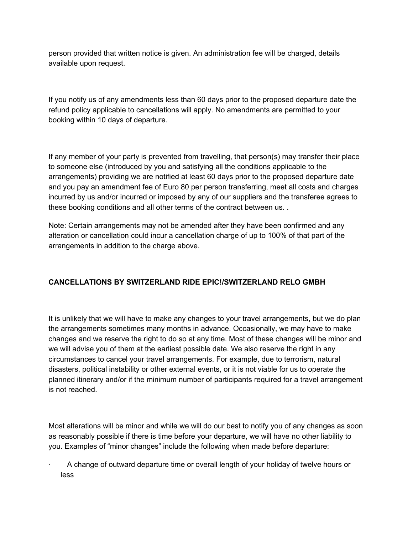person provided that written notice is given. An administration fee will be charged, details available upon request.

If you notify us of any amendments less than 60 days prior to the proposed departure date the refund policy applicable to cancellations will apply. No amendments are permitted to your booking within 10 days of departure.

If any member of your party is prevented from travelling, that person(s) may transfer their place to someone else (introduced by you and satisfying all the conditions applicable to the arrangements) providing we are notified at least 60 days prior to the proposed departure date and you pay an amendment fee of Euro 80 per person transferring, meet all costs and charges incurred by us and/or incurred or imposed by any of our suppliers and the transferee agrees to these booking conditions and all other terms of the contract between us. .

Note: Certain arrangements may not be amended after they have been confirmed and any alteration or cancellation could incur a cancellation charge of up to 100% of that part of the arrangements in addition to the charge above.

# **CANCELLATIONS BY SWITZERLAND RIDE EPIC!/SWITZERLAND RELO GMBH**

It is unlikely that we will have to make any changes to your travel arrangements, but we do plan the arrangements sometimes many months in advance. Occasionally, we may have to make changes and we reserve the right to do so at any time. Most of these changes will be minor and we will advise you of them at the earliest possible date. We also reserve the right in any circumstances to cancel your travel arrangements. For example, due to terrorism, natural disasters, political instability or other external events, or it is not viable for us to operate the planned itinerary and/or if the minimum number of participants required for a travel arrangement is not reached.

Most alterations will be minor and while we will do our best to notify you of any changes as soon as reasonably possible if there is time before your departure, we will have no other liability to you. Examples of "minor changes" include the following when made before departure:

· A change of outward departure time or overall length of your holiday of twelve hours or less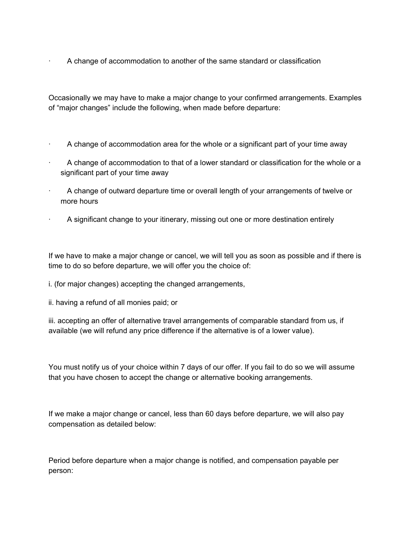· A change of accommodation to another of the same standard or classification

Occasionally we may have to make a major change to your confirmed arrangements. Examples of "major changes" include the following, when made before departure:

- A change of accommodation area for the whole or a significant part of your time away
- · A change of accommodation to that of a lower standard or classification for the whole or a significant part of your time away
- · A change of outward departure time or overall length of your arrangements of twelve or more hours
- A significant change to your itinerary, missing out one or more destination entirely

If we have to make a major change or cancel, we will tell you as soon as possible and if there is time to do so before departure, we will offer you the choice of:

- i. (for major changes) accepting the changed arrangements,
- ii. having a refund of all monies paid; or

iii. accepting an offer of alternative travel arrangements of comparable standard from us, if available (we will refund any price difference if the alternative is of a lower value).

You must notify us of your choice within 7 days of our offer. If you fail to do so we will assume that you have chosen to accept the change or alternative booking arrangements.

If we make a major change or cancel, less than 60 days before departure, we will also pay compensation as detailed below:

Period before departure when a major change is notified, and compensation payable per person: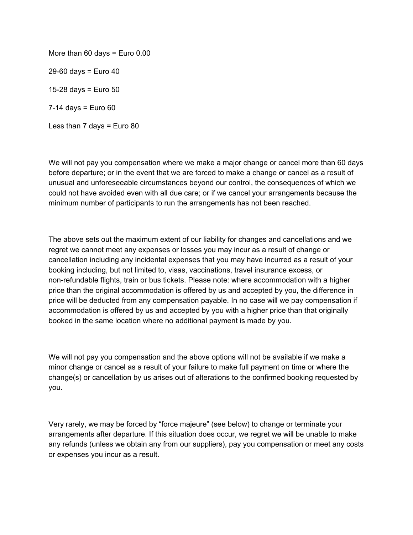More than 60 days = Euro 0.00 29-60 days = Euro 40 15-28 days = Euro 50  $7-14$  days = Euro 60 Less than  $7$  days = Euro 80

We will not pay you compensation where we make a major change or cancel more than 60 days before departure; or in the event that we are forced to make a change or cancel as a result of unusual and unforeseeable circumstances beyond our control, the consequences of which we could not have avoided even with all due care; or if we cancel your arrangements because the minimum number of participants to run the arrangements has not been reached.

The above sets out the maximum extent of our liability for changes and cancellations and we regret we cannot meet any expenses or losses you may incur as a result of change or cancellation including any incidental expenses that you may have incurred as a result of your booking including, but not limited to, visas, vaccinations, travel insurance excess, or non-refundable flights, train or bus tickets. Please note: where accommodation with a higher price than the original accommodation is offered by us and accepted by you, the difference in price will be deducted from any compensation payable. In no case will we pay compensation if accommodation is offered by us and accepted by you with a higher price than that originally booked in the same location where no additional payment is made by you.

We will not pay you compensation and the above options will not be available if we make a minor change or cancel as a result of your failure to make full payment on time or where the change(s) or cancellation by us arises out of alterations to the confirmed booking requested by you.

Very rarely, we may be forced by "force majeure" (see below) to change or terminate your arrangements after departure. If this situation does occur, we regret we will be unable to make any refunds (unless we obtain any from our suppliers), pay you compensation or meet any costs or expenses you incur as a result.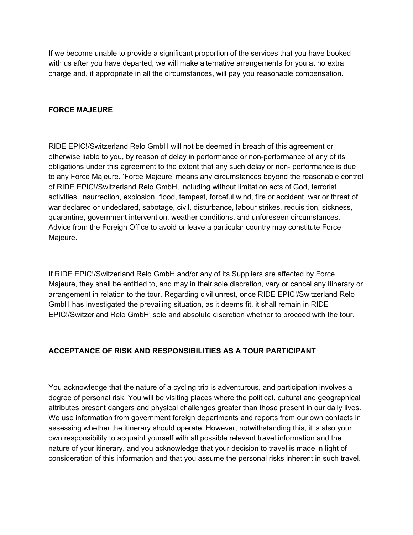If we become unable to provide a significant proportion of the services that you have booked with us after you have departed, we will make alternative arrangements for you at no extra charge and, if appropriate in all the circumstances, will pay you reasonable compensation.

## **FORCE MAJEURE**

RIDE EPIC!/Switzerland Relo GmbH will not be deemed in breach of this agreement or otherwise liable to you, by reason of delay in performance or non-performance of any of its obligations under this agreement to the extent that any such delay or non- performance is due to any Force Majeure. 'Force Majeure' means any circumstances beyond the reasonable control of RIDE EPIC!/Switzerland Relo GmbH, including without limitation acts of God, terrorist activities, insurrection, explosion, flood, tempest, forceful wind, fire or accident, war or threat of war declared or undeclared, sabotage, civil, disturbance, labour strikes, requisition, sickness, quarantine, government intervention, weather conditions, and unforeseen circumstances. Advice from the Foreign Office to avoid or leave a particular country may constitute Force Majeure.

If RIDE EPIC!/Switzerland Relo GmbH and/or any of its Suppliers are affected by Force Majeure, they shall be entitled to, and may in their sole discretion, vary or cancel any itinerary or arrangement in relation to the tour. Regarding civil unrest, once RIDE EPIC!/Switzerland Relo GmbH has investigated the prevailing situation, as it deems fit, it shall remain in RIDE EPIC!/Switzerland Relo GmbH' sole and absolute discretion whether to proceed with the tour.

# **ACCEPTANCE OF RISK AND RESPONSIBILITIES AS A TOUR PARTICIPANT**

You acknowledge that the nature of a cycling trip is adventurous, and participation involves a degree of personal risk. You will be visiting places where the political, cultural and geographical attributes present dangers and physical challenges greater than those present in our daily lives. We use information from government foreign departments and reports from our own contacts in assessing whether the itinerary should operate. However, notwithstanding this, it is also your own responsibility to acquaint yourself with all possible relevant travel information and the nature of your itinerary, and you acknowledge that your decision to travel is made in light of consideration of this information and that you assume the personal risks inherent in such travel.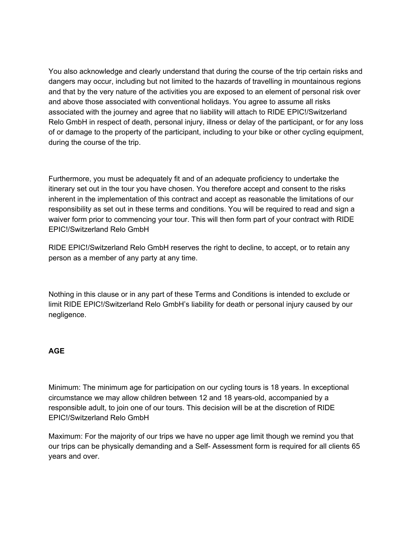You also acknowledge and clearly understand that during the course of the trip certain risks and dangers may occur, including but not limited to the hazards of travelling in mountainous regions and that by the very nature of the activities you are exposed to an element of personal risk over and above those associated with conventional holidays. You agree to assume all risks associated with the journey and agree that no liability will attach to RIDE EPIC!/Switzerland Relo GmbH in respect of death, personal injury, illness or delay of the participant, or for any loss of or damage to the property of the participant, including to your bike or other cycling equipment, during the course of the trip.

Furthermore, you must be adequately fit and of an adequate proficiency to undertake the itinerary set out in the tour you have chosen. You therefore accept and consent to the risks inherent in the implementation of this contract and accept as reasonable the limitations of our responsibility as set out in these terms and conditions. You will be required to read and sign a waiver form prior to commencing your tour. This will then form part of your contract with RIDE EPIC!/Switzerland Relo GmbH

RIDE EPIC!/Switzerland Relo GmbH reserves the right to decline, to accept, or to retain any person as a member of any party at any time.

Nothing in this clause or in any part of these Terms and Conditions is intended to exclude or limit RIDE EPIC!/Switzerland Relo GmbH's liability for death or personal injury caused by our negligence.

# **AGE**

Minimum: The minimum age for participation on our cycling tours is 18 years. In exceptional circumstance we may allow children between 12 and 18 years-old, accompanied by a responsible adult, to join one of our tours. This decision will be at the discretion of RIDE EPIC!/Switzerland Relo GmbH

Maximum: For the majority of our trips we have no upper age limit though we remind you that our trips can be physically demanding and a Self- Assessment form is required for all clients 65 years and over.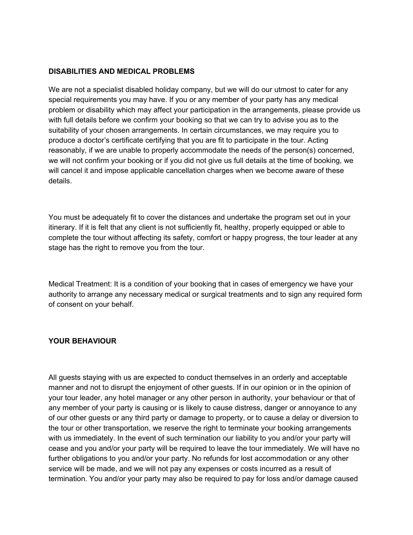#### **DISABILITIES AND MEDICAL PROBLEMS**

We are not a specialist disabled holiday company, but we will do our utmost to cater for any special requirements you may have. If you or any member of your party has any medical problem or disability which may affect your participation in the arrangements, please provide us with full details before we confirm your booking so that we can try to advise you as to the suitability of your chosen arrangements. In certain circumstances, we may require you to produce a doctor's certificate certifying that you are fit to participate in the tour. Acting reasonably, if we are unable to properly accommodate the needs of the person(s) concerned, we will not confirm your booking or if you did not give us full details at the time of booking, we will cancel it and impose applicable cancellation charges when we become aware of these details.

You must be adequately fit to cover the distances and undertake the program set out in your itinerary. If it is felt that any client is not sufficiently fit, healthy, properly equipped or able to complete the tour without affecting its safety, comfort or happy progress, the tour leader at any stage has the right to remove you from the tour.

Medical Treatment: It is a condition of your booking that in cases of emergency we have your authority to arrange any necessary medical or surgical treatments and to sign any required form of consent on your behalf.

#### **YOUR BEHAVIOUR**

All guests staying with us are expected to conduct themselves in an orderly and acceptable manner and not to disrupt the enjoyment of other guests. If in our opinion or in the opinion of your tour leader, any hotel manager or any other person in authority, your behaviour or that of any member of your party is causing or is likely to cause distress, danger or annoyance to any of our other guests or any third party or damage to property, or to cause a delay or diversion to the tour or other transportation, we reserve the right to terminate your booking arrangements with us immediately. In the event of such termination our liability to you and/or your party will cease and you and/or your party will be required to leave the tour immediately. We will have no further obligations to you and/or your party. No refunds for lost accommodation or any other service will be made, and we will not pay any expenses or costs incurred as a result of termination. You and/or your party may also be required to pay for loss and/or damage caused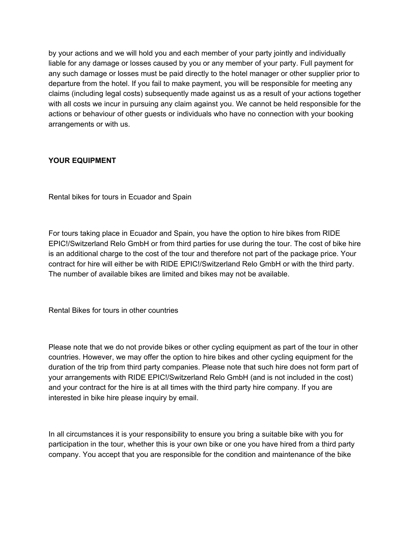by your actions and we will hold you and each member of your party jointly and individually liable for any damage or losses caused by you or any member of your party. Full payment for any such damage or losses must be paid directly to the hotel manager or other supplier prior to departure from the hotel. If you fail to make payment, you will be responsible for meeting any claims (including legal costs) subsequently made against us as a result of your actions together with all costs we incur in pursuing any claim against you. We cannot be held responsible for the actions or behaviour of other guests or individuals who have no connection with your booking arrangements or with us.

# **YOUR EQUIPMENT**

Rental bikes for tours in Ecuador and Spain

For tours taking place in Ecuador and Spain, you have the option to hire bikes from RIDE EPIC!/Switzerland Relo GmbH or from third parties for use during the tour. The cost of bike hire is an additional charge to the cost of the tour and therefore not part of the package price. Your contract for hire will either be with RIDE EPIC!/Switzerland Relo GmbH or with the third party. The number of available bikes are limited and bikes may not be available.

Rental Bikes for tours in other countries

Please note that we do not provide bikes or other cycling equipment as part of the tour in other countries. However, we may offer the option to hire bikes and other cycling equipment for the duration of the trip from third party companies. Please note that such hire does not form part of your arrangements with RIDE EPIC!/Switzerland Relo GmbH (and is not included in the cost) and your contract for the hire is at all times with the third party hire company. If you are interested in bike hire please inquiry by email.

In all circumstances it is your responsibility to ensure you bring a suitable bike with you for participation in the tour, whether this is your own bike or one you have hired from a third party company. You accept that you are responsible for the condition and maintenance of the bike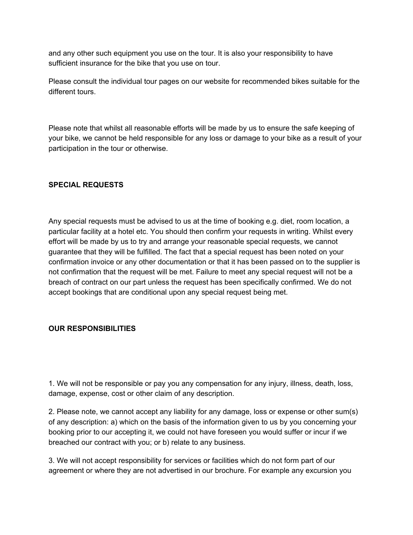and any other such equipment you use on the tour. It is also your responsibility to have sufficient insurance for the bike that you use on tour.

Please consult the individual tour pages on our website for recommended bikes suitable for the different tours.

Please note that whilst all reasonable efforts will be made by us to ensure the safe keeping of your bike, we cannot be held responsible for any loss or damage to your bike as a result of your participation in the tour or otherwise.

## **SPECIAL REQUESTS**

Any special requests must be advised to us at the time of booking e.g. diet, room location, a particular facility at a hotel etc. You should then confirm your requests in writing. Whilst every effort will be made by us to try and arrange your reasonable special requests, we cannot guarantee that they will be fulfilled. The fact that a special request has been noted on your confirmation invoice or any other documentation or that it has been passed on to the supplier is not confirmation that the request will be met. Failure to meet any special request will not be a breach of contract on our part unless the request has been specifically confirmed. We do not accept bookings that are conditional upon any special request being met.

#### **OUR RESPONSIBILITIES**

1. We will not be responsible or pay you any compensation for any injury, illness, death, loss, damage, expense, cost or other claim of any description.

2. Please note, we cannot accept any liability for any damage, loss or expense or other sum(s) of any description: a) which on the basis of the information given to us by you concerning your booking prior to our accepting it, we could not have foreseen you would suffer or incur if we breached our contract with you; or b) relate to any business.

3. We will not accept responsibility for services or facilities which do not form part of our agreement or where they are not advertised in our brochure. For example any excursion you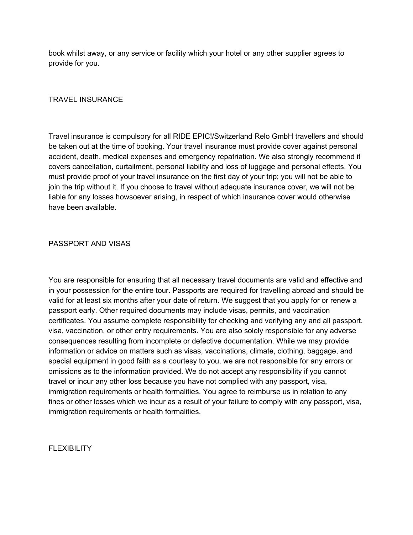book whilst away, or any service or facility which your hotel or any other supplier agrees to provide for you.

## TRAVEL INSURANCE

Travel insurance is compulsory for all RIDE EPIC!/Switzerland Relo GmbH travellers and should be taken out at the time of booking. Your travel insurance must provide cover against personal accident, death, medical expenses and emergency repatriation. We also strongly recommend it covers cancellation, curtailment, personal liability and loss of luggage and personal effects. You must provide proof of your travel insurance on the first day of your trip; you will not be able to join the trip without it. If you choose to travel without adequate insurance cover, we will not be liable for any losses howsoever arising, in respect of which insurance cover would otherwise have been available.

#### PASSPORT AND VISAS

You are responsible for ensuring that all necessary travel documents are valid and effective and in your possession for the entire tour. Passports are required for travelling abroad and should be valid for at least six months after your date of return. We suggest that you apply for or renew a passport early. Other required documents may include visas, permits, and vaccination certificates. You assume complete responsibility for checking and verifying any and all passport, visa, vaccination, or other entry requirements. You are also solely responsible for any adverse consequences resulting from incomplete or defective documentation. While we may provide information or advice on matters such as visas, vaccinations, climate, clothing, baggage, and special equipment in good faith as a courtesy to you, we are not responsible for any errors or omissions as to the information provided. We do not accept any responsibility if you cannot travel or incur any other loss because you have not complied with any passport, visa, immigration requirements or health formalities. You agree to reimburse us in relation to any fines or other losses which we incur as a result of your failure to comply with any passport, visa, immigration requirements or health formalities.

**FLEXIBILITY**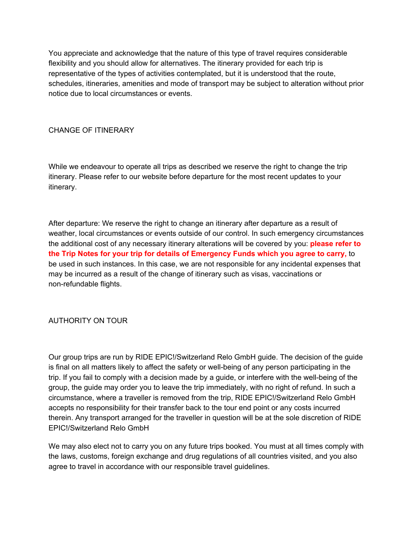You appreciate and acknowledge that the nature of this type of travel requires considerable flexibility and you should allow for alternatives. The itinerary provided for each trip is representative of the types of activities contemplated, but it is understood that the route, schedules, itineraries, amenities and mode of transport may be subject to alteration without prior notice due to local circumstances or events.

## CHANGE OF ITINERARY

While we endeavour to operate all trips as described we reserve the right to change the trip itinerary. Please refer to our website before departure for the most recent updates to your itinerary.

After departure: We reserve the right to change an itinerary after departure as a result of weather, local circumstances or events outside of our control. In such emergency circumstances the additional cost of any necessary itinerary alterations will be covered by you: **please refer to the Trip Notes for your trip for details of Emergency Funds which you agree to carry,** to be used in such instances. In this case, we are not responsible for any incidental expenses that may be incurred as a result of the change of itinerary such as visas, vaccinations or non-refundable flights.

# AUTHORITY ON TOUR

Our group trips are run by RIDE EPIC!/Switzerland Relo GmbH guide. The decision of the guide is final on all matters likely to affect the safety or well-being of any person participating in the trip. If you fail to comply with a decision made by a guide, or interfere with the well-being of the group, the guide may order you to leave the trip immediately, with no right of refund. In such a circumstance, where a traveller is removed from the trip, RIDE EPIC!/Switzerland Relo GmbH accepts no responsibility for their transfer back to the tour end point or any costs incurred therein. Any transport arranged for the traveller in question will be at the sole discretion of RIDE EPIC!/Switzerland Relo GmbH

We may also elect not to carry you on any future trips booked. You must at all times comply with the laws, customs, foreign exchange and drug regulations of all countries visited, and you also agree to travel in accordance with our responsible travel guidelines.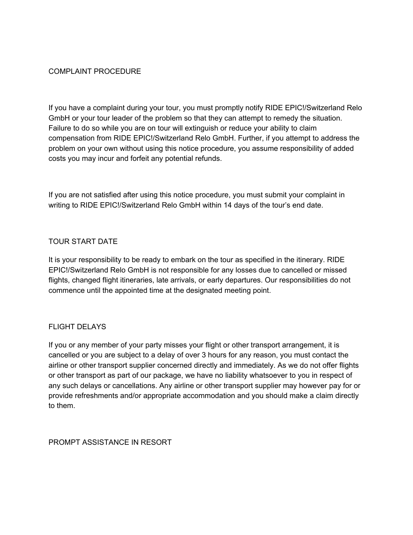## COMPLAINT PROCEDURE

If you have a complaint during your tour, you must promptly notify RIDE EPIC!/Switzerland Relo GmbH or your tour leader of the problem so that they can attempt to remedy the situation. Failure to do so while you are on tour will extinguish or reduce your ability to claim compensation from RIDE EPIC!/Switzerland Relo GmbH. Further, if you attempt to address the problem on your own without using this notice procedure, you assume responsibility of added costs you may incur and forfeit any potential refunds.

If you are not satisfied after using this notice procedure, you must submit your complaint in writing to RIDE EPIC!/Switzerland Relo GmbH within 14 days of the tour's end date.

## TOUR START DATE

It is your responsibility to be ready to embark on the tour as specified in the itinerary. RIDE EPIC!/Switzerland Relo GmbH is not responsible for any losses due to cancelled or missed flights, changed flight itineraries, late arrivals, or early departures. Our responsibilities do not commence until the appointed time at the designated meeting point.

#### FLIGHT DELAYS

If you or any member of your party misses your flight or other transport arrangement, it is cancelled or you are subject to a delay of over 3 hours for any reason, you must contact the airline or other transport supplier concerned directly and immediately. As we do not offer flights or other transport as part of our package, we have no liability whatsoever to you in respect of any such delays or cancellations. Any airline or other transport supplier may however pay for or provide refreshments and/or appropriate accommodation and you should make a claim directly to them.

PROMPT ASSISTANCE IN RESORT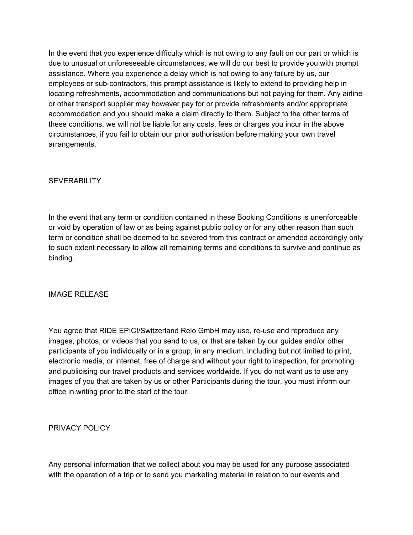In the event that you experience difficulty which is not owing to any fault on our part or which is due to unusual or unforeseeable circumstances, we will do our best to provide you with prompt assistance. Where you experience a delay which is not owing to any failure by us, our employees or sub-contractors, this prompt assistance is likely to extend to providing help in locating refreshments, accommodation and communications but not paying for them. Any airline or other transport supplier may however pay for or provide refreshments and/or appropriate accommodation and you should make a claim directly to them. Subject to the other terms of these conditions, we will not be liable for any costs, fees or charges you incur in the above circumstances, if you fail to obtain our prior authorisation before making your own travel arrangements.

## **SEVERABILITY**

In the event that any term or condition contained in these Booking Conditions is unenforceable or void by operation of law or as being against public policy or for any other reason than such term or condition shall be deemed to be severed from this contract or amended accordingly only to such extent necessary to allow all remaining terms and conditions to survive and continue as binding.

#### IMAGE RELEASE

You agree that RIDE EPIC!/Switzerland Relo GmbH may use, re-use and reproduce any images, photos, or videos that you send to us, or that are taken by our guides and/or other participants of you individually or in a group, in any medium, including but not limited to print, electronic media, or internet, free of charge and without your right to inspection, for promoting and publicising our travel products and services worldwide. If you do not want us to use any images of you that are taken by us or other Participants during the tour, you must inform our office in writing prior to the start of the tour.

#### PRIVACY POLICY

Any personal information that we collect about you may be used for any purpose associated with the operation of a trip or to send you marketing material in relation to our events and